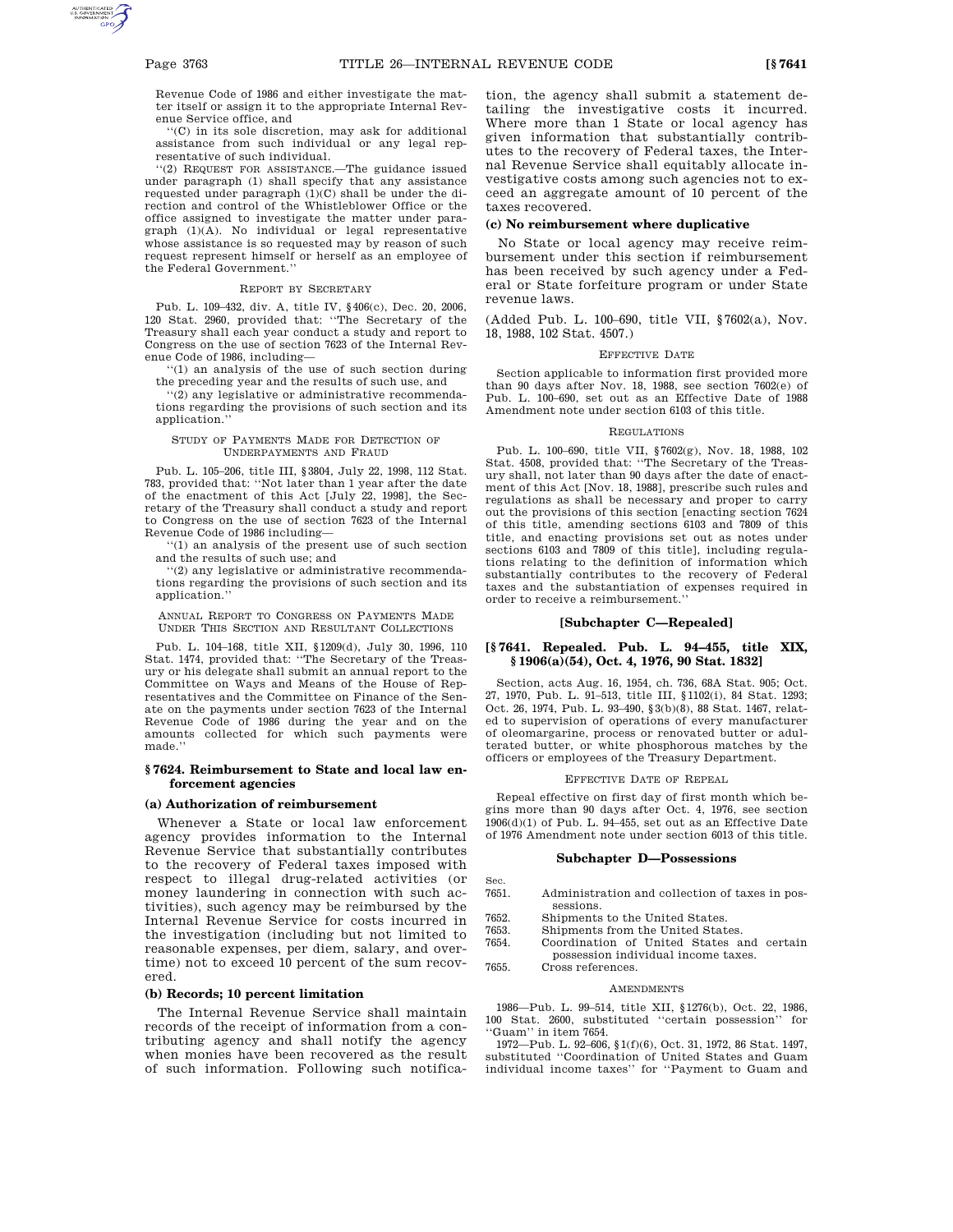Revenue Code of 1986 and either investigate the matter itself or assign it to the appropriate Internal Revenue Service office, and

''(C) in its sole discretion, may ask for additional assistance from such individual or any legal representative of such individual.

''(2) REQUEST FOR ASSISTANCE.—The guidance issued under paragraph (1) shall specify that any assistance requested under paragraph (1)(C) shall be under the direction and control of the Whistleblower Office or the office assigned to investigate the matter under paragraph (1)(A). No individual or legal representative whose assistance is so requested may by reason of such request represent himself or herself as an employee of the Federal Government.''

#### REPORT BY SECRETARY

Pub. L. 109–432, div. A, title IV, §406(c), Dec. 20, 2006, 120 Stat. 2960, provided that: ''The Secretary of the Treasury shall each year conduct a study and report to Congress on the use of section 7623 of the Internal Revenue Code of 1986, including—

'(1) an analysis of the use of such section during the preceding year and the results of such use, and

 $(2)$  any legislative or administrative recommendations regarding the provisions of such section and its application.''

### STUDY OF PAYMENTS MADE FOR DETECTION OF UNDERPAYMENTS AND FRAUD

Pub. L. 105–206, title III, §3804, July 22, 1998, 112 Stat. 783, provided that: ''Not later than 1 year after the date of the enactment of this Act [July 22, 1998], the Secretary of the Treasury shall conduct a study and report to Congress on the use of section 7623 of the Internal Revenue Code of 1986 including—

''(1) an analysis of the present use of such section and the results of such use; and

''(2) any legislative or administrative recommendations regarding the provisions of such section and its application.''

ANNUAL REPORT TO CONGRESS ON PAYMENTS MADE UNDER THIS SECTION AND RESULTANT COLLECTIONS

Pub. L. 104–168, title XII, §1209(d), July 30, 1996, 110 Stat. 1474, provided that: ''The Secretary of the Treasury or his delegate shall submit an annual report to the Committee on Ways and Means of the House of Representatives and the Committee on Finance of the Senate on the payments under section 7623 of the Internal Revenue Code of 1986 during the year and on the amounts collected for which such payments were made.

## **§ 7624. Reimbursement to State and local law enforcement agencies**

# **(a) Authorization of reimbursement**

Whenever a State or local law enforcement agency provides information to the Internal Revenue Service that substantially contributes to the recovery of Federal taxes imposed with respect to illegal drug-related activities (or money laundering in connection with such activities), such agency may be reimbursed by the Internal Revenue Service for costs incurred in the investigation (including but not limited to reasonable expenses, per diem, salary, and overtime) not to exceed 10 percent of the sum recovered.

# **(b) Records; 10 percent limitation**

The Internal Revenue Service shall maintain records of the receipt of information from a contributing agency and shall notify the agency when monies have been recovered as the result of such information. Following such notification, the agency shall submit a statement detailing the investigative costs it incurred. Where more than 1 State or local agency has given information that substantially contributes to the recovery of Federal taxes, the Internal Revenue Service shall equitably allocate investigative costs among such agencies not to exceed an aggregate amount of 10 percent of the taxes recovered.

### **(c) No reimbursement where duplicative**

No State or local agency may receive reimbursement under this section if reimbursement has been received by such agency under a Federal or State forfeiture program or under State revenue laws.

(Added Pub. L. 100–690, title VII, §7602(a), Nov. 18, 1988, 102 Stat. 4507.)

#### EFFECTIVE DATE

Section applicable to information first provided more than 90 days after Nov. 18, 1988, see section 7602(e) of Pub. L. 100–690, set out as an Effective Date of 1988 Amendment note under section 6103 of this title.

#### REGULATIONS

Pub. L. 100–690, title VII, §7602(g), Nov. 18, 1988, 102 Stat. 4508, provided that: ''The Secretary of the Treasury shall, not later than 90 days after the date of enactment of this Act [Nov. 18, 1988], prescribe such rules and regulations as shall be necessary and proper to carry out the provisions of this section [enacting section 7624 of this title, amending sections 6103 and 7809 of this title, and enacting provisions set out as notes under sections 6103 and 7809 of this title], including regulations relating to the definition of information which substantially contributes to the recovery of Federal taxes and the substantiation of expenses required in order to receive a reimbursement.''

# **[Subchapter C—Repealed]**

### **[§ 7641. Repealed. Pub. L. 94–455, title XIX, § 1906(a)(54), Oct. 4, 1976, 90 Stat. 1832]**

Section, acts Aug. 16, 1954, ch. 736, 68A Stat. 905; Oct. 27, 1970, Pub. L. 91–513, title III, §1102(i), 84 Stat. 1293; Oct. 26, 1974, Pub. L. 93–490, §3(b)(8), 88 Stat. 1467, related to supervision of operations of every manufacturer of oleomargarine, process or renovated butter or adulterated butter, or white phosphorous matches by the officers or employees of the Treasury Department.

### EFFECTIVE DATE OF REPEAL

Repeal effective on first day of first month which begins more than 90 days after Oct. 4, 1976, see section  $1906(d)(1)$  of Pub. L. 94–455, set out as an Effective Date of 1976 Amendment note under section 6013 of this title.

#### **Subchapter D—Possessions**

Sec.

- 7651. Administration and collection of taxes in possessions.
- 7652. Shipments to the United States.
- 7653. Shipments from the United States.
- 7654. Coordination of United States and certain possession individual income taxes.
- 7655. Cross references.

#### **AMENDMENTS**

1986—Pub. L. 99–514, title XII, §1276(b), Oct. 22, 1986, 100 Stat. 2600, substituted ''certain possession'' for ''Guam'' in item 7654.

1972—Pub. L. 92–606, §1(f)(6), Oct. 31, 1972, 86 Stat. 1497, substituted ''Coordination of United States and Guam individual income taxes'' for ''Payment to Guam and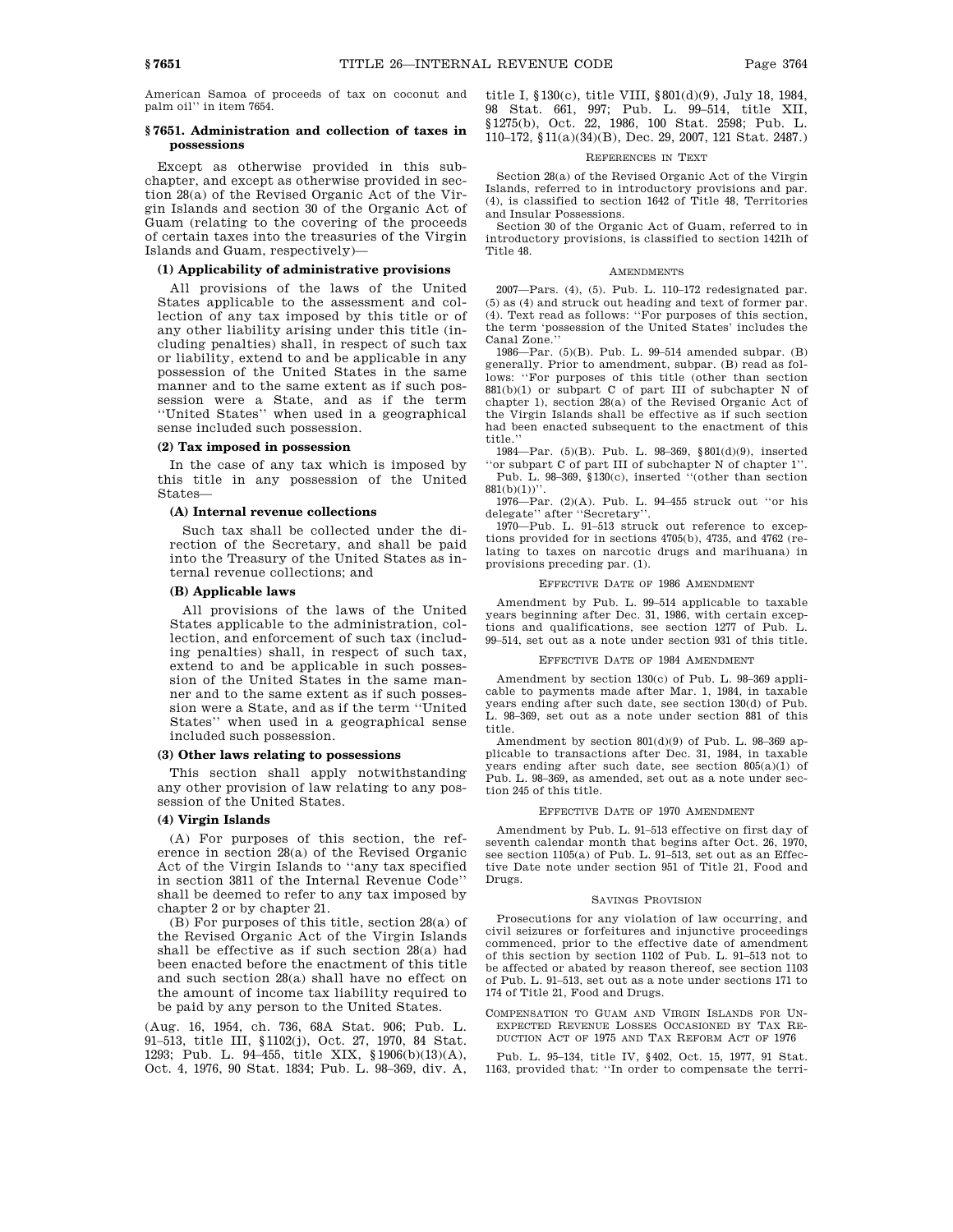American Samoa of proceeds of tax on coconut and palm oil'' in item 7654.

## **§ 7651. Administration and collection of taxes in possessions**

Except as otherwise provided in this subchapter, and except as otherwise provided in section 28(a) of the Revised Organic Act of the Virgin Islands and section 30 of the Organic Act of Guam (relating to the covering of the proceeds of certain taxes into the treasuries of the Virgin Islands and Guam, respectively)—

## **(1) Applicability of administrative provisions**

All provisions of the laws of the United States applicable to the assessment and collection of any tax imposed by this title or of any other liability arising under this title (including penalties) shall, in respect of such tax or liability, extend to and be applicable in any possession of the United States in the same manner and to the same extent as if such possession were a State, and as if the term ''United States'' when used in a geographical sense included such possession.

#### **(2) Tax imposed in possession**

In the case of any tax which is imposed by this title in any possession of the United States—

### **(A) Internal revenue collections**

Such tax shall be collected under the direction of the Secretary, and shall be paid into the Treasury of the United States as internal revenue collections; and

# **(B) Applicable laws**

All provisions of the laws of the United States applicable to the administration, collection, and enforcement of such tax (including penalties) shall, in respect of such tax, extend to and be applicable in such possession of the United States in the same manner and to the same extent as if such possession were a State, and as if the term ''United States'' when used in a geographical sense included such possession.

#### **(3) Other laws relating to possessions**

This section shall apply notwithstanding any other provision of law relating to any possession of the United States.

### **(4) Virgin Islands**

(A) For purposes of this section, the reference in section 28(a) of the Revised Organic Act of the Virgin Islands to ''any tax specified in section 3811 of the Internal Revenue Code'' shall be deemed to refer to any tax imposed by chapter 2 or by chapter 21.

(B) For purposes of this title, section 28(a) of the Revised Organic Act of the Virgin Islands shall be effective as if such section 28(a) had been enacted before the enactment of this title and such section 28(a) shall have no effect on the amount of income tax liability required to be paid by any person to the United States.

(Aug. 16, 1954, ch. 736, 68A Stat. 906; Pub. L. 91–513, title III, §1102(j), Oct. 27, 1970, 84 Stat. 1293; Pub. L. 94–455, title XIX, §1906(b)(13)(A), Oct. 4, 1976, 90 Stat. 1834; Pub. L. 98–369, div. A, title I, §130(c), title VIII, §801(d)(9), July 18, 1984, 98 Stat. 661, 997; Pub. L. 99–514, title XII, §1275(b), Oct. 22, 1986, 100 Stat. 2598; Pub. L. 110–172, §11(a)(34)(B), Dec. 29, 2007, 121 Stat. 2487.)

#### REFERENCES IN TEXT

Section 28(a) of the Revised Organic Act of the Virgin Islands, referred to in introductory provisions and par. (4), is classified to section 1642 of Title 48, Territories and Insular Possessions.

Section 30 of the Organic Act of Guam, referred to in introductory provisions, is classified to section 1421h of Title 48.

### AMENDMENTS

2007—Pars. (4), (5). Pub. L. 110–172 redesignated par. (5) as (4) and struck out heading and text of former par. (4). Text read as follows: ''For purposes of this section, the term 'possession of the United States' includes the Canal Zone.''

1986—Par. (5)(B). Pub. L. 99–514 amended subpar. (B) generally. Prior to amendment, subpar. (B) read as follows: ''For purposes of this title (other than section 881(b)(1) or subpart C of part III of subchapter N of chapter 1), section 28(a) of the Revised Organic Act of the Virgin Islands shall be effective as if such section had been enacted subsequent to the enactment of this title.''

1984—Par. (5)(B). Pub. L. 98–369, §801(d)(9), inserted ''or subpart C of part III of subchapter N of chapter 1''.

Pub. L. 98–369, §130(c), inserted ''(other than section  $881(b)(1))$ "

1976—Par. (2)(A). Pub. L. 94–455 struck out ''or his delegate'' after ''Secretary''.

1970—Pub. L. 91–513 struck out reference to exceptions provided for in sections 4705(b), 4735, and 4762 (relating to taxes on narcotic drugs and marihuana) in provisions preceding par. (1).

## EFFECTIVE DATE OF 1986 AMENDMENT

Amendment by Pub. L. 99–514 applicable to taxable years beginning after Dec. 31, 1986, with certain exceptions and qualifications, see section 1277 of Pub. L. 99–514, set out as a note under section 931 of this title.

### EFFECTIVE DATE OF 1984 AMENDMENT

Amendment by section 130(c) of Pub. L. 98–369 applicable to payments made after Mar. 1, 1984, in taxable years ending after such date, see section 130(d) of Pub. L. 98–369, set out as a note under section 881 of this title.

Amendment by section 801(d)(9) of Pub. L. 98–369 applicable to transactions after Dec. 31, 1984, in taxable years ending after such date, see section 805(a)(1) of Pub. L. 98–369, as amended, set out as a note under section 245 of this title.

### EFFECTIVE DATE OF 1970 AMENDMENT

Amendment by Pub. L. 91–513 effective on first day of seventh calendar month that begins after Oct. 26, 1970, see section 1105(a) of Pub. L. 91-513, set out as an Effective Date note under section 951 of Title 21, Food and Drugs.

### SAVINGS PROVISION

Prosecutions for any violation of law occurring, and civil seizures or forfeitures and injunctive proceedings commenced, prior to the effective date of amendment of this section by section 1102 of Pub. L. 91–513 not to be affected or abated by reason thereof, see section 1103 of Pub. L. 91–513, set out as a note under sections 171 to 174 of Title 21, Food and Drugs.

COMPENSATION TO GUAM AND VIRGIN ISLANDS FOR UN-EXPECTED REVENUE LOSSES OCCASIONED BY TAX RE-DUCTION ACT OF 1975 AND TAX REFORM ACT OF 1976

Pub. L. 95–134, title IV, §402, Oct. 15, 1977, 91 Stat. 1163, provided that: ''In order to compensate the terri-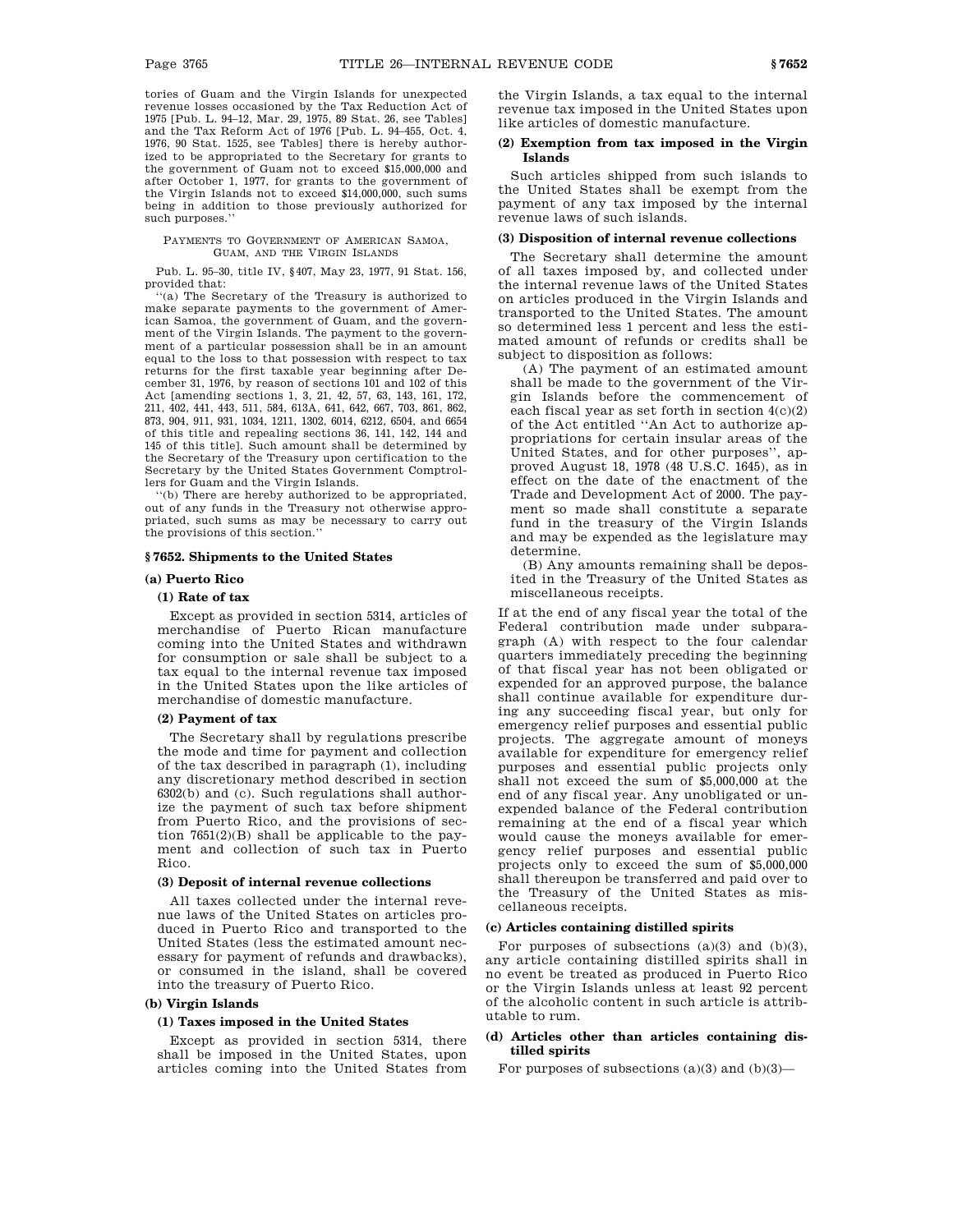tories of Guam and the Virgin Islands for unexpected revenue losses occasioned by the Tax Reduction Act of 1975 [Pub. L. 94–12, Mar. 29, 1975, 89 Stat. 26, see Tables] and the Tax Reform Act of 1976 [Pub. L. 94–455, Oct. 4, 1976, 90 Stat. 1525, see Tables] there is hereby authorized to be appropriated to the Secretary for grants to the government of Guam not to exceed \$15,000,000 and after October 1, 1977, for grants to the government of the Virgin Islands not to exceed \$14,000,000, such sums being in addition to those previously authorized for such purposes.''

#### PAYMENTS TO GOVERNMENT OF AMERICAN SAMOA, GUAM, AND THE VIRGIN ISLANDS

Pub. L. 95–30, title IV, §407, May 23, 1977, 91 Stat. 156, provided that:

'(a) The Secretary of the Treasury is authorized to make separate payments to the government of American Samoa, the government of Guam, and the government of the Virgin Islands. The payment to the government of a particular possession shall be in an amount equal to the loss to that possession with respect to tax returns for the first taxable year beginning after December 31, 1976, by reason of sections 101 and 102 of this Act [amending sections 1, 3, 21, 42, 57, 63, 143, 161, 172, 211, 402, 441, 443, 511, 584, 613A, 641, 642, 667, 703, 861, 862, 873, 904, 911, 931, 1034, 1211, 1302, 6014, 6212, 6504, and 6654 of this title and repealing sections 36, 141, 142, 144 and 145 of this title]. Such amount shall be determined by the Secretary of the Treasury upon certification to the Secretary by the United States Government Comptrollers for Guam and the Virgin Islands.

''(b) There are hereby authorized to be appropriated, out of any funds in the Treasury not otherwise appropriated, such sums as may be necessary to carry out the provisions of this section.''

### **§ 7652. Shipments to the United States**

# **(a) Puerto Rico**

# **(1) Rate of tax**

Except as provided in section 5314, articles of merchandise of Puerto Rican manufacture coming into the United States and withdrawn for consumption or sale shall be subject to a tax equal to the internal revenue tax imposed in the United States upon the like articles of merchandise of domestic manufacture.

## **(2) Payment of tax**

The Secretary shall by regulations prescribe the mode and time for payment and collection of the tax described in paragraph (1), including any discretionary method described in section 6302(b) and (c). Such regulations shall authorize the payment of such tax before shipment from Puerto Rico, and the provisions of section 7651(2)(B) shall be applicable to the payment and collection of such tax in Puerto Rico.

# **(3) Deposit of internal revenue collections**

All taxes collected under the internal revenue laws of the United States on articles produced in Puerto Rico and transported to the United States (less the estimated amount necessary for payment of refunds and drawbacks), or consumed in the island, shall be covered into the treasury of Puerto Rico.

## **(b) Virgin Islands**

## **(1) Taxes imposed in the United States**

Except as provided in section 5314, there shall be imposed in the United States, upon articles coming into the United States from the Virgin Islands, a tax equal to the internal revenue tax imposed in the United States upon like articles of domestic manufacture.

## **(2) Exemption from tax imposed in the Virgin Islands**

Such articles shipped from such islands to the United States shall be exempt from the payment of any tax imposed by the internal revenue laws of such islands.

## **(3) Disposition of internal revenue collections**

The Secretary shall determine the amount of all taxes imposed by, and collected under the internal revenue laws of the United States on articles produced in the Virgin Islands and transported to the United States. The amount so determined less 1 percent and less the estimated amount of refunds or credits shall be subject to disposition as follows:

(A) The payment of an estimated amount shall be made to the government of the Virgin Islands before the commencement of each fiscal year as set forth in section  $4(c)(2)$ of the Act entitled ''An Act to authorize appropriations for certain insular areas of the United States, and for other purposes'', approved August 18, 1978 (48 U.S.C. 1645), as in effect on the date of the enactment of the Trade and Development Act of 2000. The payment so made shall constitute a separate fund in the treasury of the Virgin Islands and may be expended as the legislature may determine.

(B) Any amounts remaining shall be deposited in the Treasury of the United States as miscellaneous receipts.

If at the end of any fiscal year the total of the Federal contribution made under subparagraph (A) with respect to the four calendar quarters immediately preceding the beginning of that fiscal year has not been obligated or expended for an approved purpose, the balance shall continue available for expenditure during any succeeding fiscal year, but only for emergency relief purposes and essential public projects. The aggregate amount of moneys available for expenditure for emergency relief purposes and essential public projects only shall not exceed the sum of \$5,000,000 at the end of any fiscal year. Any unobligated or unexpended balance of the Federal contribution remaining at the end of a fiscal year which would cause the moneys available for emergency relief purposes and essential public projects only to exceed the sum of \$5,000,000 shall thereupon be transferred and paid over to the Treasury of the United States as miscellaneous receipts.

## **(c) Articles containing distilled spirits**

For purposes of subsections  $(a)(3)$  and  $(b)(3)$ , any article containing distilled spirits shall in no event be treated as produced in Puerto Rico or the Virgin Islands unless at least 92 percent of the alcoholic content in such article is attributable to rum.

# **(d) Articles other than articles containing distilled spirits**

For purposes of subsections  $(a)(3)$  and  $(b)(3)$ —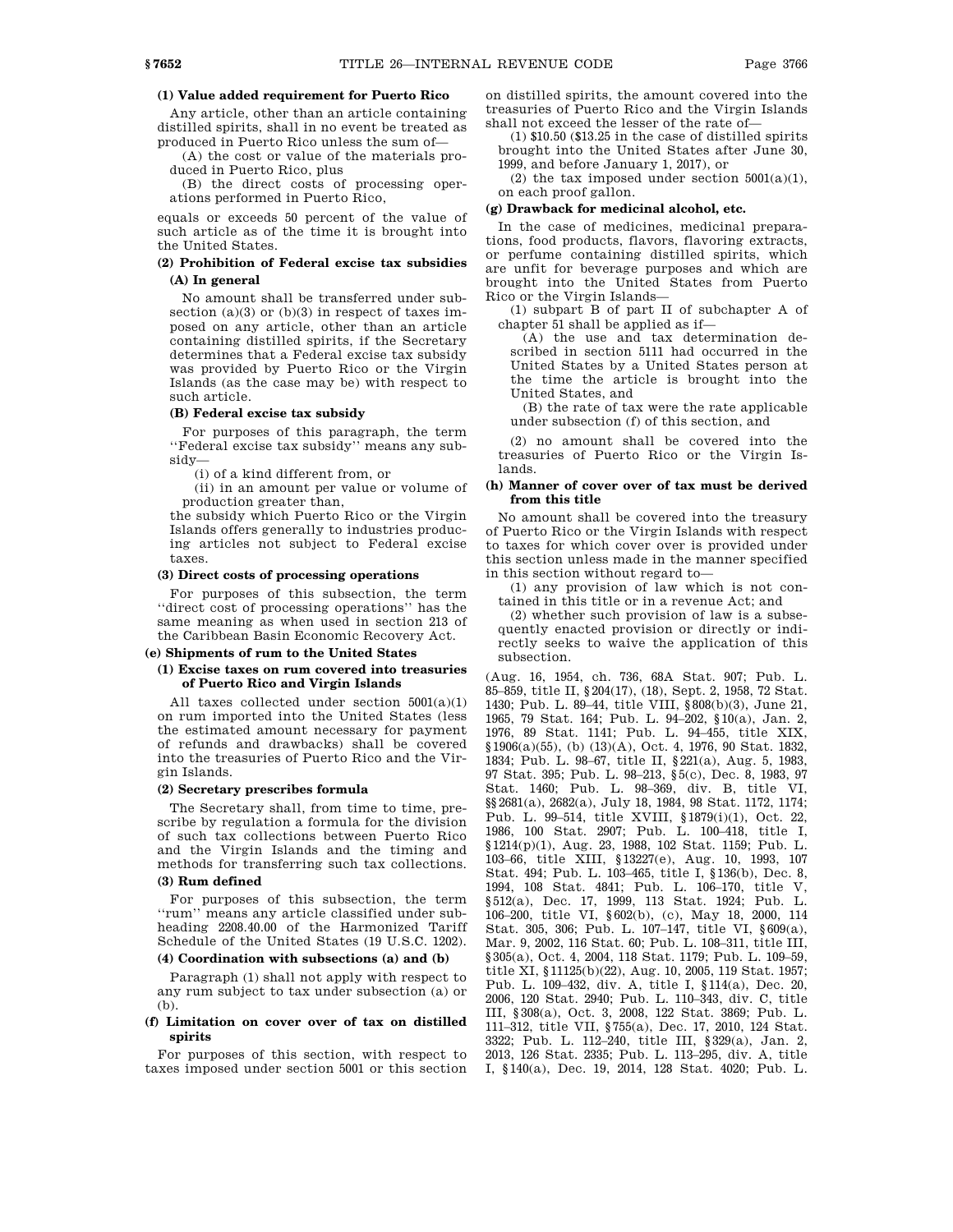# **(1) Value added requirement for Puerto Rico**

Any article, other than an article containing distilled spirits, shall in no event be treated as produced in Puerto Rico unless the sum of—

(A) the cost or value of the materials produced in Puerto Rico, plus

(B) the direct costs of processing operations performed in Puerto Rico,

equals or exceeds 50 percent of the value of such article as of the time it is brought into the United States.

# **(2) Prohibition of Federal excise tax subsidies (A) In general**

No amount shall be transferred under subsection  $(a)(3)$  or  $(b)(3)$  in respect of taxes imposed on any article, other than an article containing distilled spirits, if the Secretary determines that a Federal excise tax subsidy was provided by Puerto Rico or the Virgin Islands (as the case may be) with respect to such article.

#### **(B) Federal excise tax subsidy**

For purposes of this paragraph, the term ''Federal excise tax subsidy'' means any subsidy—

(i) of a kind different from, or

(ii) in an amount per value or volume of production greater than,

the subsidy which Puerto Rico or the Virgin Islands offers generally to industries producing articles not subject to Federal excise taxes.

# **(3) Direct costs of processing operations**

For purposes of this subsection, the term ''direct cost of processing operations'' has the same meaning as when used in section 213 of the Caribbean Basin Economic Recovery Act.

## **(e) Shipments of rum to the United States**

# **(1) Excise taxes on rum covered into treasuries of Puerto Rico and Virgin Islands**

All taxes collected under section 5001(a)(1) on rum imported into the United States (less the estimated amount necessary for payment of refunds and drawbacks) shall be covered into the treasuries of Puerto Rico and the Virgin Islands.

### **(2) Secretary prescribes formula**

The Secretary shall, from time to time, prescribe by regulation a formula for the division of such tax collections between Puerto Rico and the Virgin Islands and the timing and methods for transferring such tax collections.

## **(3) Rum defined**

For purposes of this subsection, the term ''rum'' means any article classified under subheading 2208.40.00 of the Harmonized Tariff Schedule of the United States (19 U.S.C. 1202).

# **(4) Coordination with subsections (a) and (b)**

Paragraph (1) shall not apply with respect to any rum subject to tax under subsection (a) or (b).

## **(f) Limitation on cover over of tax on distilled spirits**

For purposes of this section, with respect to taxes imposed under section 5001 or this section

on distilled spirits, the amount covered into the treasuries of Puerto Rico and the Virgin Islands shall not exceed the lesser of the rate of—

(1) \$10.50 (\$13.25 in the case of distilled spirits brought into the United States after June 30, 1999, and before January 1, 2017), or

(2) the tax imposed under section  $5001(a)(1)$ , on each proof gallon.

### **(g) Drawback for medicinal alcohol, etc.**

In the case of medicines, medicinal preparations, food products, flavors, flavoring extracts, or perfume containing distilled spirits, which are unfit for beverage purposes and which are brought into the United States from Puerto Rico or the Virgin Islands—

(1) subpart B of part II of subchapter A of chapter 51 shall be applied as if—

(A) the use and tax determination described in section 5111 had occurred in the United States by a United States person at the time the article is brought into the United States, and

(B) the rate of tax were the rate applicable under subsection (f) of this section, and

(2) no amount shall be covered into the treasuries of Puerto Rico or the Virgin Islands.

# **(h) Manner of cover over of tax must be derived from this title**

No amount shall be covered into the treasury of Puerto Rico or the Virgin Islands with respect to taxes for which cover over is provided under this section unless made in the manner specified in this section without regard to—

(1) any provision of law which is not contained in this title or in a revenue Act; and

(2) whether such provision of law is a subsequently enacted provision or directly or indirectly seeks to waive the application of this subsection.

(Aug. 16, 1954, ch. 736, 68A Stat. 907; Pub. L. 85–859, title II, §204(17), (18), Sept. 2, 1958, 72 Stat. 1430; Pub. L. 89–44, title VIII, §808(b)(3), June 21, 1965, 79 Stat. 164; Pub. L. 94–202, §10(a), Jan. 2, 1976, 89 Stat. 1141; Pub. L. 94–455, title XIX, §1906(a)(55), (b) (13)(A), Oct. 4, 1976, 90 Stat. 1832, 1834; Pub. L. 98–67, title II, §221(a), Aug. 5, 1983, 97 Stat. 395; Pub. L. 98–213, §5(c), Dec. 8, 1983, 97 Stat. 1460; Pub. L. 98–369, div. B, title VI, §§2681(a), 2682(a), July 18, 1984, 98 Stat. 1172, 1174; Pub. L. 99–514, title XVIII, §1879(i)(1), Oct. 22, 1986, 100 Stat. 2907; Pub. L. 100–418, title I, §1214(p)(1), Aug. 23, 1988, 102 Stat. 1159; Pub. L. 103–66, title XIII, §13227(e), Aug. 10, 1993, 107 Stat. 494; Pub. L. 103–465, title I, §136(b), Dec. 8, 1994, 108 Stat. 4841; Pub. L. 106–170, title V, §512(a), Dec. 17, 1999, 113 Stat. 1924; Pub. L. 106–200, title VI, §602(b), (c), May 18, 2000, 114 Stat. 305, 306; Pub. L. 107–147, title VI, §609(a), Mar. 9, 2002, 116 Stat. 60; Pub. L. 108–311, title III, §305(a), Oct. 4, 2004, 118 Stat. 1179; Pub. L. 109–59, title XI, §11125(b)(22), Aug. 10, 2005, 119 Stat. 1957; Pub. L. 109–432, div. A, title I, §114(a), Dec. 20, 2006, 120 Stat. 2940; Pub. L. 110–343, div. C, title III, §308(a), Oct. 3, 2008, 122 Stat. 3869; Pub. L. 111–312, title VII, §755(a), Dec. 17, 2010, 124 Stat. 3322; Pub. L. 112–240, title III, §329(a), Jan. 2, 2013, 126 Stat. 2335; Pub. L. 113–295, div. A, title I, §140(a), Dec. 19, 2014, 128 Stat. 4020; Pub. L.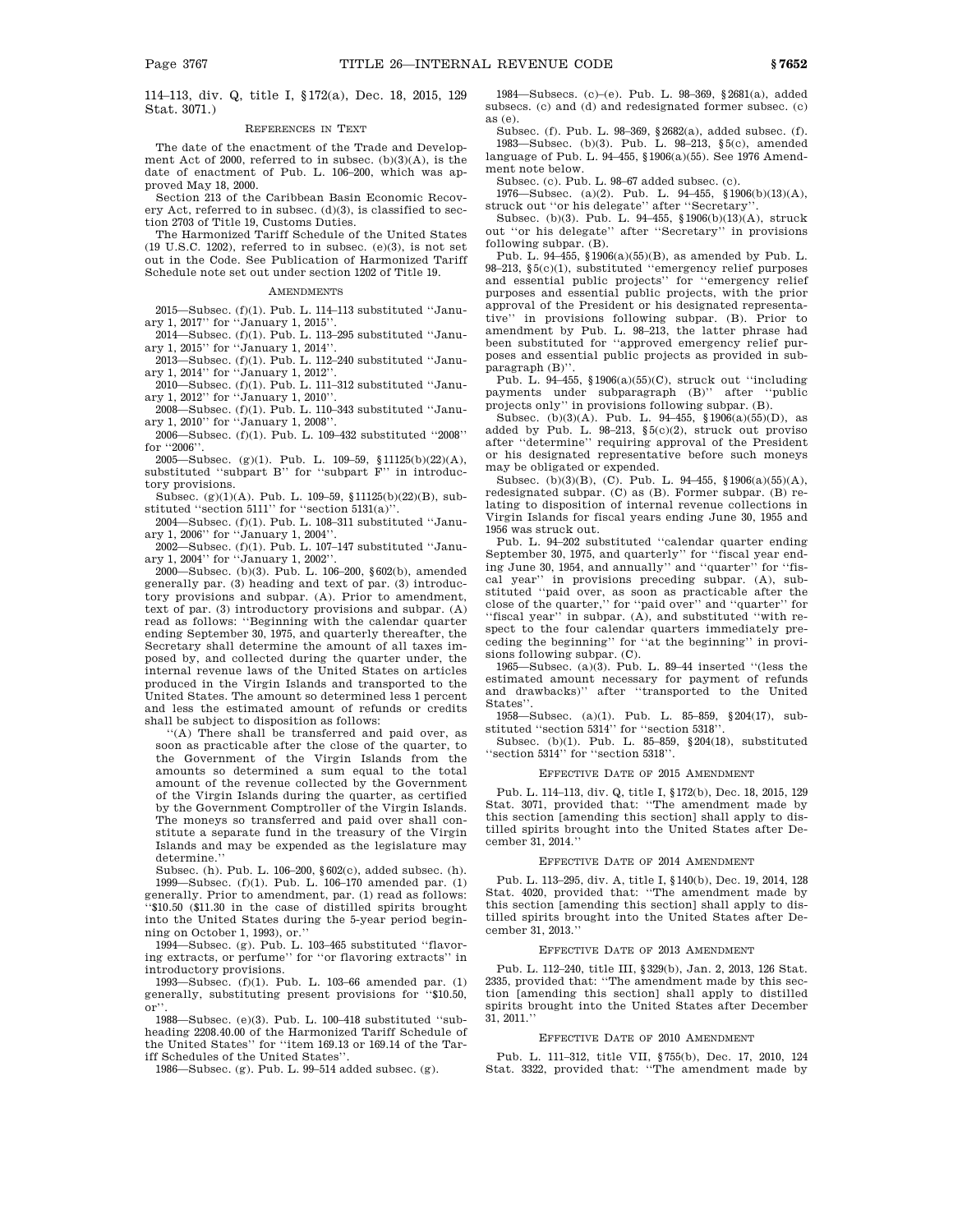114–113, div. Q, title I, §172(a), Dec. 18, 2015, 129 Stat. 3071.)

#### REFERENCES IN TEXT

The date of the enactment of the Trade and Development Act of 2000, referred to in subsec. (b)(3)(A), is the date of enactment of Pub. L. 106–200, which was approved May 18, 2000.

Section 213 of the Caribbean Basin Economic Recovery Act, referred to in subsec. (d)(3), is classified to section 2703 of Title 19, Customs Duties.

The Harmonized Tariff Schedule of the United States  $(19 \text{ U.S.C. } 1202)$ , referred to in subsec.  $(e)(3)$ , is not set out in the Code. See Publication of Harmonized Tariff Schedule note set out under section 1202 of Title 19.

#### **AMENDMENTS**

2015—Subsec. (f)(1). Pub. L. 114–113 substituted ''January 1, 2017'' for ''January 1, 2015''.

2014—Subsec. (f)(1). Pub. L. 113–295 substituted ''January 1, 2015'' for ''January 1, 2014''.

2013—Subsec. (f)(1). Pub. L. 112–240 substituted ''January 1, 2014'' for ''January 1, 2012''.

2010—Subsec. (f)(1). Pub. L. 111–312 substituted ''January 1, 2012'' for ''January 1, 2010''.

2008—Subsec. (f)(1). Pub. L. 110–343 substituted ''January 1, 2010'' for ''January 1, 2008''.

2006—Subsec. (f)(1). Pub. L. 109–432 substituted ''2008'' for ''2006''.

2005—Subsec. (g)(1). Pub. L. 109–59, §11125(b)(22)(A), substituted ''subpart B'' for ''subpart F'' in introductory provisions.

Subsec. (g)(1)(A). Pub. L. 109–59, §11125(b)(22)(B), substituted "section 5111" for "section 5131(a)".

2004—Subsec. (f)(1). Pub. L. 108–311 substituted ''January 1, 2006'' for ''January 1, 2004''.

2002—Subsec. (f)(1). Pub. L. 107–147 substituted ''January 1, 2004'' for ''January 1, 2002''.

2000—Subsec. (b)(3). Pub. L. 106–200, §602(b), amended generally par. (3) heading and text of par. (3) introductory provisions and subpar. (A). Prior to amendment, text of par. (3) introductory provisions and subpar. (A) read as follows: ''Beginning with the calendar quarter ending September 30, 1975, and quarterly thereafter, the Secretary shall determine the amount of all taxes imposed by, and collected during the quarter under, the internal revenue laws of the United States on articles produced in the Virgin Islands and transported to the United States. The amount so determined less 1 percent and less the estimated amount of refunds or credits shall be subject to disposition as follows:

''(A) There shall be transferred and paid over, as soon as practicable after the close of the quarter, to the Government of the Virgin Islands from the amounts so determined a sum equal to the total amount of the revenue collected by the Government of the Virgin Islands during the quarter, as certified by the Government Comptroller of the Virgin Islands. The moneys so transferred and paid over shall constitute a separate fund in the treasury of the Virgin Islands and may be expended as the legislature may determine.''

Subsec. (h). Pub. L. 106–200, §602(c), added subsec. (h). 1999—Subsec. (f)(1). Pub. L. 106–170 amended par. (1) generally. Prior to amendment, par. (1) read as follows: ''\$10.50 (\$11.30 in the case of distilled spirits brought into the United States during the 5-year period beginning on October 1, 1993), or.''

1994—Subsec. (g). Pub. L. 103–465 substituted ''flavoring extracts, or perfume'' for ''or flavoring extracts'' in introductory provisions.

1993—Subsec. (f)(1). Pub. L. 103–66 amended par. (1) generally, substituting present provisions for ''\$10.50, or''.

1988—Subsec. (e)(3). Pub. L. 100–418 substituted ''subheading 2208.40.00 of the Harmonized Tariff Schedule of the United States'' for ''item 169.13 or 169.14 of the Tariff Schedules of the United States''.

1986—Subsec. (g). Pub. L. 99–514 added subsec. (g).

1984—Subsecs. (c)–(e). Pub. L. 98–369, §2681(a), added subsecs. (c) and (d) and redesignated former subsec. (c) as (e).

Subsec. (f). Pub. L. 98–369, §2682(a), added subsec. (f). 1983—Subsec. (b)(3). Pub. L. 98–213, §5(c), amended language of Pub. L. 94–455, §1906(a)(55). See 1976 Amendment note below.

Subsec. (c). Pub. L. 98–67 added subsec. (c).

1976—Subsec. (a)(2). Pub. L. 94–455, §1906(b)(13)(A), struck out ''or his delegate'' after ''Secretary''.

Subsec. (b)(3). Pub. L. 94–455, §1906(b)(13)(A), struck out ''or his delegate'' after ''Secretary'' in provisions following subpar. (B).

Pub. L. 94–455, §1906(a)(55)(B), as amended by Pub. L. 98–213, §5(c)(1), substituted ''emergency relief purposes and essential public projects'' for ''emergency relief purposes and essential public projects, with the prior approval of the President or his designated representative'' in provisions following subpar. (B). Prior to amendment by Pub. L. 98–213, the latter phrase had been substituted for ''approved emergency relief purposes and essential public projects as provided in subparagraph (B)''.

Pub. L. 94–455, §1906(a)(55)(C), struck out ''including payments under subparagraph (B)'' after ''public projects only'' in provisions following subpar. (B).

Subsec. (b)(3)(A). Pub. L. 94–455, §1906(a)(55)(D), as added by Pub. L. 98–213, §5(c)(2), struck out proviso after ''determine'' requiring approval of the President or his designated representative before such moneys may be obligated or expended.

Subsec. (b)(3)(B), (C). Pub. L. 94–455, §1906(a)(55)(A), redesignated subpar. (C) as (B). Former subpar. (B) relating to disposition of internal revenue collections in Virgin Islands for fiscal years ending June 30, 1955 and 1956 was struck out.<br>Pub. L. 94–202 substituted "calendar quarter ending"

Pub. L. 94–202 substituted ''calendar quarter ending September 30, 1975, and quarterly'' for ''fiscal year ending June 30, 1954, and annually'' and ''quarter'' for ''fiscal year'' in provisions preceding subpar. (A), substituted ''paid over, as soon as practicable after the close of the quarter,'' for ''paid over'' and ''quarter'' for ''fiscal year'' in subpar. (A), and substituted ''with respect to the four calendar quarters immediately preceding the beginning'' for ''at the beginning'' in provisions following subpar. (C).

1965—Subsec. (a)(3). Pub. L. 89–44 inserted ''(less the estimated amount necessary for payment of refunds and drawbacks)'' after ''transported to the United States''.

1958—Subsec. (a)(1). Pub. L. 85–859, §204(17), substituted ''section 5314'' for ''section 5318''.

Subsec. (b)(1). Pub. L. 85–859, §204(18), substituted 'section 5314'' for "section 5318".

#### EFFECTIVE DATE OF 2015 AMENDMENT

Pub. L. 114–113, div. Q, title I, §172(b), Dec. 18, 2015, 129 Stat. 3071, provided that: ''The amendment made by this section [amending this section] shall apply to distilled spirits brought into the United States after December 31, 2014.''

#### EFFECTIVE DATE OF 2014 AMENDMENT

Pub. L. 113–295, div. A, title I, §140(b), Dec. 19, 2014, 128 Stat. 4020, provided that: ''The amendment made by this section [amending this section] shall apply to distilled spirits brought into the United States after December 31, 2013.''

#### EFFECTIVE DATE OF 2013 AMENDMENT

Pub. L. 112–240, title III, §329(b), Jan. 2, 2013, 126 Stat. 2335, provided that: ''The amendment made by this section [amending this section] shall apply to distilled spirits brought into the United States after December 31, 2011.''

#### EFFECTIVE DATE OF 2010 AMENDMENT

Pub. L. 111–312, title VII, §755(b), Dec. 17, 2010, 124 Stat. 3322, provided that: ''The amendment made by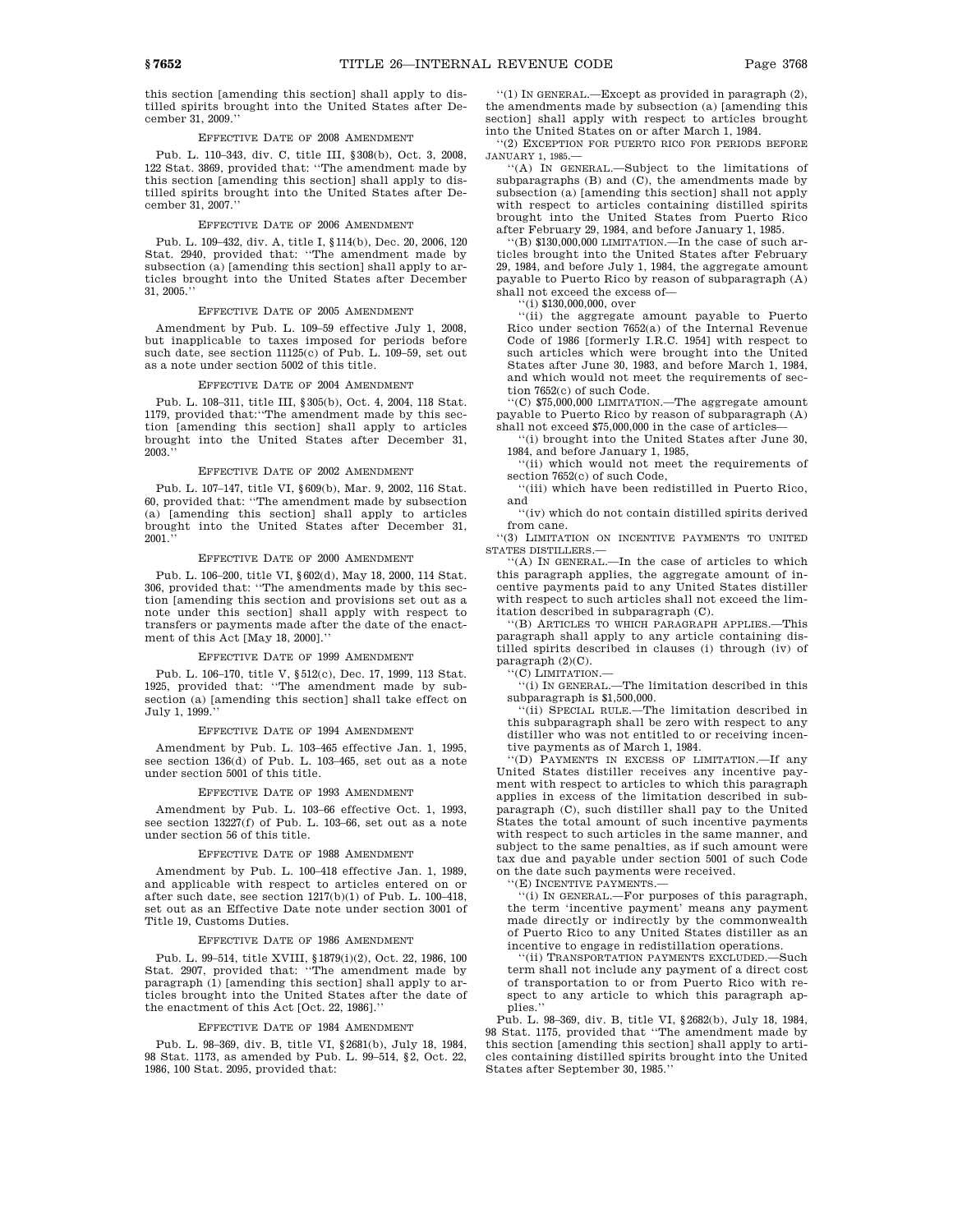this section [amending this section] shall apply to distilled spirits brought into the United States after December 31, 2009.''

### EFFECTIVE DATE OF 2008 AMENDMENT

Pub. L. 110–343, div. C, title III, §308(b), Oct. 3, 2008, 122 Stat. 3869, provided that: ''The amendment made by this section [amending this section] shall apply to distilled spirits brought into the United States after December 31, 2007.''

### EFFECTIVE DATE OF 2006 AMENDMENT

Pub. L. 109–432, div. A, title I, §114(b), Dec. 20, 2006, 120 Stat. 2940, provided that: ''The amendment made by subsection (a) [amending this section] shall apply to articles brought into the United States after December 31, 2005.''

#### EFFECTIVE DATE OF 2005 AMENDMENT

Amendment by Pub. L. 109–59 effective July 1, 2008, but inapplicable to taxes imposed for periods before such date, see section 11125(c) of Pub. L. 109-59, set out as a note under section 5002 of this title.

### EFFECTIVE DATE OF 2004 AMENDMENT

Pub. L. 108–311, title III, §305(b), Oct. 4, 2004, 118 Stat. 1179, provided that:''The amendment made by this section [amending this section] shall apply to articles brought into the United States after December 31, 2003.''

### EFFECTIVE DATE OF 2002 AMENDMENT

Pub. L. 107–147, title VI, §609(b), Mar. 9, 2002, 116 Stat. 60, provided that: ''The amendment made by subsection (a) [amending this section] shall apply to articles brought into the United States after December 31,  $2001$ .

### EFFECTIVE DATE OF 2000 AMENDMENT

Pub. L. 106–200, title VI, §602(d), May 18, 2000, 114 Stat. 306, provided that: ''The amendments made by this section [amending this section and provisions set out as a note under this section] shall apply with respect to transfers or payments made after the date of the enactment of this Act [May 18, 2000].''

### EFFECTIVE DATE OF 1999 AMENDMENT

Pub. L. 106–170, title V, §512(c), Dec. 17, 1999, 113 Stat. 1925, provided that: ''The amendment made by subsection (a) [amending this section] shall take effect on July 1, 1999.''

#### EFFECTIVE DATE OF 1994 AMENDMENT

Amendment by Pub. L. 103–465 effective Jan. 1, 1995, see section 136(d) of Pub. L. 103–465, set out as a note under section 5001 of this title.

## EFFECTIVE DATE OF 1993 AMENDMENT

Amendment by Pub. L. 103–66 effective Oct. 1, 1993, see section 13227(f) of Pub. L. 103–66, set out as a note under section 56 of this title.

## EFFECTIVE DATE OF 1988 AMENDMENT

Amendment by Pub. L. 100–418 effective Jan. 1, 1989, and applicable with respect to articles entered on or after such date, see section 1217(b)(1) of Pub. L. 100–418, set out as an Effective Date note under section 3001 of Title 19, Customs Duties.

### EFFECTIVE DATE OF 1986 AMENDMENT

Pub. L. 99–514, title XVIII, §1879(i)(2), Oct. 22, 1986, 100 Stat. 2907, provided that: ''The amendment made by paragraph (1) [amending this section] shall apply to articles brought into the United States after the date of the enactment of this Act [Oct. 22, 1986].''

#### EFFECTIVE DATE OF 1984 AMENDMENT

Pub. L. 98–369, div. B, title VI, §2681(b), July 18, 1984, 98 Stat. 1173, as amended by Pub. L. 99–514, §2, Oct. 22, 1986, 100 Stat. 2095, provided that:

''(1) IN GENERAL.—Except as provided in paragraph (2), the amendments made by subsection (a) [amending this section] shall apply with respect to articles brought into the United States on or after March 1, 1984.

''(2) EXCEPTION FOR PUERTO RICO FOR PERIODS BEFORE JANUARY 1, 1985.—

''(A) IN GENERAL.—Subject to the limitations of subparagraphs (B) and (C), the amendments made by subsection (a) [amending this section] shall not apply with respect to articles containing distilled spirits brought into the United States from Puerto Rico after February 29, 1984, and before January 1, 1985.

 $f(B)$  \$130,000,000 LIMITATION.—In the case of such articles brought into the United States after February 29, 1984, and before July 1, 1984, the aggregate amount payable to Puerto Rico by reason of subparagraph (A) shall not exceed the excess of—

''(i) \$130,000,000, over

''(ii) the aggregate amount payable to Puerto Rico under section 7652(a) of the Internal Revenue Code of 1986 [formerly I.R.C. 1954] with respect to such articles which were brought into the United States after June 30, 1983, and before March 1, 1984, and which would not meet the requirements of section 7652(c) of such Code.

''(C) \$75,000,000 LIMITATION.—The aggregate amount payable to Puerto Rico by reason of subparagraph (A) shall not exceed \$75,000,000 in the case of articles—

''(i) brought into the United States after June 30, 1984, and before January 1, 1985,

''(ii) which would not meet the requirements of section 7652(c) of such Code,

''(iii) which have been redistilled in Puerto Rico, and

''(iv) which do not contain distilled spirits derived from cane.

''(3) LIMITATION ON INCENTIVE PAYMENTS TO UNITED STATES DISTILLERS.—

''(A) IN GENERAL.—In the case of articles to which this paragraph applies, the aggregate amount of incentive payments paid to any United States distiller with respect to such articles shall not exceed the limitation described in subparagraph (C).

''(B) ARTICLES TO WHICH PARAGRAPH APPLIES.—This paragraph shall apply to any article containing distilled spirits described in clauses (i) through (iv) of paragraph (2)(C).

''(C) LIMITATION.—

''(i) IN GENERAL.—The limitation described in this subparagraph is \$1,500,000.

''(ii) SPECIAL RULE.—The limitation described in this subparagraph shall be zero with respect to any distiller who was not entitled to or receiving incentive payments as of March 1, 1984.

''(D) PAYMENTS IN EXCESS OF LIMITATION.—If any United States distiller receives any incentive payment with respect to articles to which this paragraph applies in excess of the limitation described in subparagraph (C), such distiller shall pay to the United States the total amount of such incentive payments with respect to such articles in the same manner, and subject to the same penalties, as if such amount were tax due and payable under section 5001 of such Code on the date such payments were received.

''(E) INCENTIVE PAYMENTS.—

''(i) IN GENERAL.—For purposes of this paragraph, the term 'incentive payment' means any payment made directly or indirectly by the commonwealth of Puerto Rico to any United States distiller as an incentive to engage in redistillation operations.

''(ii) TRANSPORTATION PAYMENTS EXCLUDED.—Such term shall not include any payment of a direct cost of transportation to or from Puerto Rico with respect to any article to which this paragraph applies.''

Pub. L. 98–369, div. B, title VI, §2682(b), July 18, 1984, 98 Stat. 1175, provided that ''The amendment made by this section [amending this section] shall apply to articles containing distilled spirits brought into the United States after September 30, 1985.''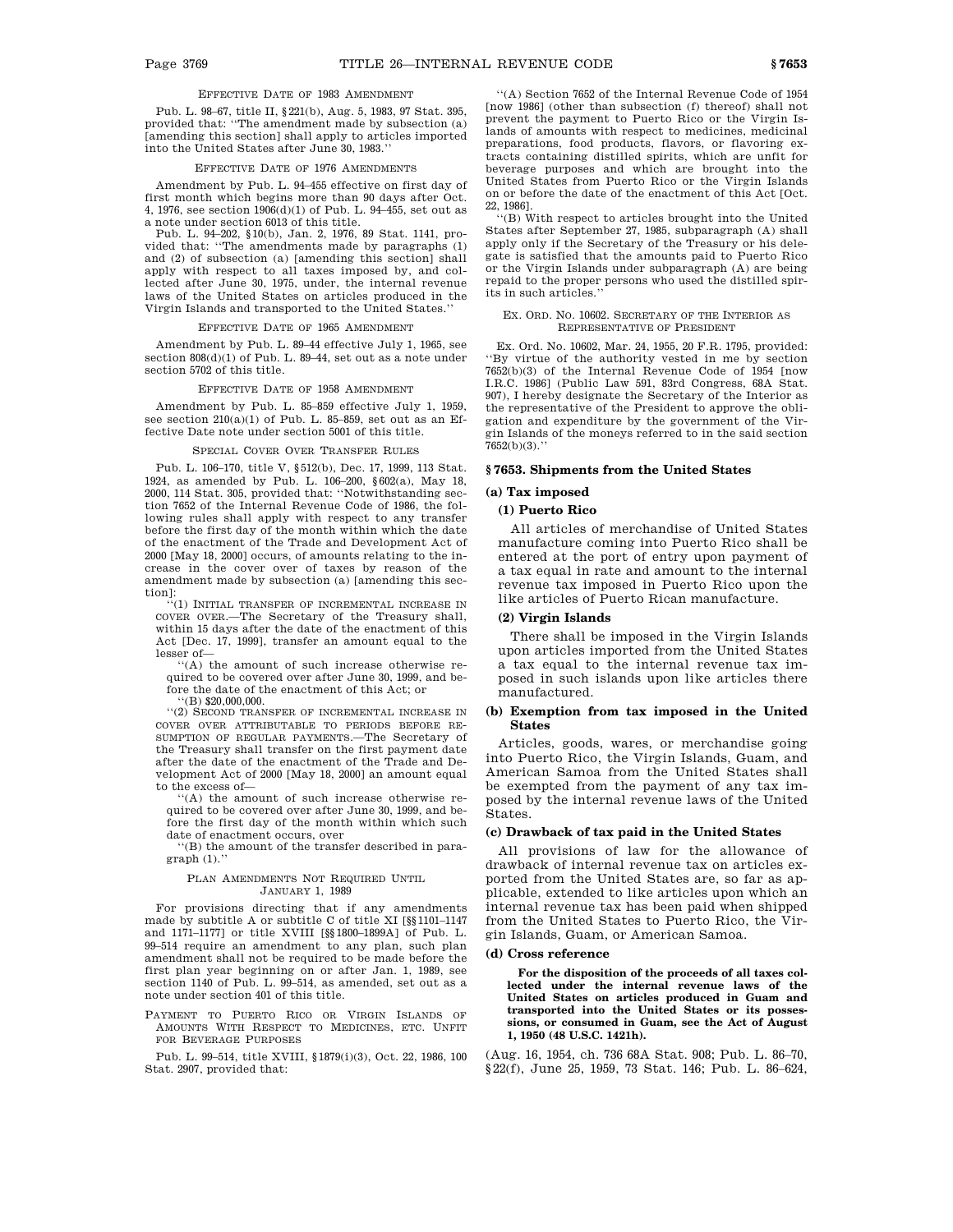# EFFECTIVE DATE OF 1983 AMENDMENT

Pub. L. 98–67, title II, §221(b), Aug. 5, 1983, 97 Stat. 395, provided that: ''The amendment made by subsection (a) [amending this section] shall apply to articles imported into the United States after June 30, 1983.''

#### EFFECTIVE DATE OF 1976 AMENDMENTS

Amendment by Pub. L. 94–455 effective on first day of first month which begins more than 90 days after Oct. 4, 1976, see section 1906(d)(1) of Pub. L. 94–455, set out as a note under section 6013 of this title.

Pub. L. 94–202, §10(b), Jan. 2, 1976, 89 Stat. 1141, provided that: ''The amendments made by paragraphs (1) and (2) of subsection (a) [amending this section] shall apply with respect to all taxes imposed by, and collected after June 30, 1975, under, the internal revenue laws of the United States on articles produced in the Virgin Islands and transported to the United States.''

### EFFECTIVE DATE OF 1965 AMENDMENT

Amendment by Pub. L. 89–44 effective July 1, 1965, see section  $808(d)(1)$  of Pub. L. 89-44, set out as a note under section 5702 of this title.

#### EFFECTIVE DATE OF 1958 AMENDMENT

Amendment by Pub. L. 85–859 effective July 1, 1959, see section 210(a)(1) of Pub. L. 85–859, set out as an Effective Date note under section 5001 of this title.

#### PECIAL COVER OVER TRANSFER RULES

Pub. L. 106–170, title V, §512(b), Dec. 17, 1999, 113 Stat. 1924, as amended by Pub. L. 106–200, §602(a), May 18, 2000, 114 Stat. 305, provided that: ''Notwithstanding section 7652 of the Internal Revenue Code of 1986, the following rules shall apply with respect to any transfer before the first day of the month within which the date of the enactment of the Trade and Development Act of 2000 [May 18, 2000] occurs, of amounts relating to the increase in the cover over of taxes by reason of the amendment made by subsection (a) [amending this section]:

 $(1)$  INITIAL TRANSFER OF INCREMENTAL INCREASE IN COVER OVER.—The Secretary of the Treasury shall, within 15 days after the date of the enactment of this Act [Dec. 17, 1999], transfer an amount equal to the lesser of—

''(A) the amount of such increase otherwise required to be covered over after June 30, 1999, and before the date of the enactment of this Act; or ''(B) \$20,000,000.

''(2) SECOND TRANSFER OF INCREMENTAL INCREASE IN COVER OVER ATTRIBUTABLE TO PERIODS BEFORE RE-SUMPTION OF REGULAR PAYMENTS.—The Secretary of the Treasury shall transfer on the first payment date after the date of the enactment of the Trade and Development Act of 2000 [May 18, 2000] an amount equal to the excess of—

 $'(A)$  the amount of such increase otherwise required to be covered over after June 30, 1999, and before the first day of the month within which such date of enactment occurs, over

''(B) the amount of the transfer described in paragraph (1).''

#### PLAN AMENDMENTS NOT REQUIRED UNTIL JANUARY 1, 1989

For provisions directing that if any amendments made by subtitle A or subtitle C of title XI [§§1101–1147 and 1171–1177] or title XVIII [§§1800–1899A] of Pub. L. 99–514 require an amendment to any plan, such plan amendment shall not be required to be made before the first plan year beginning on or after Jan. 1, 1989, see section 1140 of Pub. L. 99–514, as amended, set out as a note under section 401 of this title.

PAYMENT TO PUERTO RICO OR VIRGIN ISLANDS OF AMOUNTS WITH RESPECT TO MEDICINES, ETC. UNFIT FOR BEVERAGE PURPOSES

Pub. L. 99–514, title XVIII, §1879(i)(3), Oct. 22, 1986, 100 Stat. 2907, provided that:

''(A) Section 7652 of the Internal Revenue Code of 1954 [now 1986] (other than subsection (f) thereof) shall not prevent the payment to Puerto Rico or the Virgin Islands of amounts with respect to medicines, medicinal preparations, food products, flavors, or flavoring extracts containing distilled spirits, which are unfit for beverage purposes and which are brought into the United States from Puerto Rico or the Virgin Islands on or before the date of the enactment of this Act [Oct. 22, 1986].

''(B) With respect to articles brought into the United States after September 27, 1985, subparagraph (A) shall apply only if the Secretary of the Treasury or his delegate is satisfied that the amounts paid to Puerto Rico or the Virgin Islands under subparagraph (A) are being repaid to the proper persons who used the distilled spirits in such articles.''

### EX. ORD. NO. 10602. SECRETARY OF THE INTERIOR AS REPRESENTATIVE OF PRESIDENT

Ex. Ord. No. 10602, Mar. 24, 1955, 20 F.R. 1795, provided: ''By virtue of the authority vested in me by section 7652(b)(3) of the Internal Revenue Code of 1954 [now I.R.C. 1986] (Public Law 591, 83rd Congress, 68A Stat. 907), I hereby designate the Secretary of the Interior as the representative of the President to approve the obligation and expenditure by the government of the Virgin Islands of the moneys referred to in the said section  $7652(b)(3)$ .

### **§ 7653. Shipments from the United States**

#### **(a) Tax imposed**

# **(1) Puerto Rico**

All articles of merchandise of United States manufacture coming into Puerto Rico shall be entered at the port of entry upon payment of a tax equal in rate and amount to the internal revenue tax imposed in Puerto Rico upon the like articles of Puerto Rican manufacture.

### **(2) Virgin Islands**

There shall be imposed in the Virgin Islands upon articles imported from the United States a tax equal to the internal revenue tax imposed in such islands upon like articles there manufactured.

# **(b) Exemption from tax imposed in the United States**

Articles, goods, wares, or merchandise going into Puerto Rico, the Virgin Islands, Guam, and American Samoa from the United States shall be exempted from the payment of any tax imposed by the internal revenue laws of the United States.

## **(c) Drawback of tax paid in the United States**

All provisions of law for the allowance of drawback of internal revenue tax on articles exported from the United States are, so far as applicable, extended to like articles upon which an internal revenue tax has been paid when shipped from the United States to Puerto Rico, the Virgin Islands, Guam, or American Samoa.

# **(d) Cross reference**

**For the disposition of the proceeds of all taxes collected under the internal revenue laws of the United States on articles produced in Guam and transported into the United States or its possessions, or consumed in Guam, see the Act of August 1, 1950 (48 U.S.C. 1421h).**

(Aug. 16, 1954, ch. 736 68A Stat. 908; Pub. L. 86–70, §22(f), June 25, 1959, 73 Stat. 146; Pub. L. 86-624,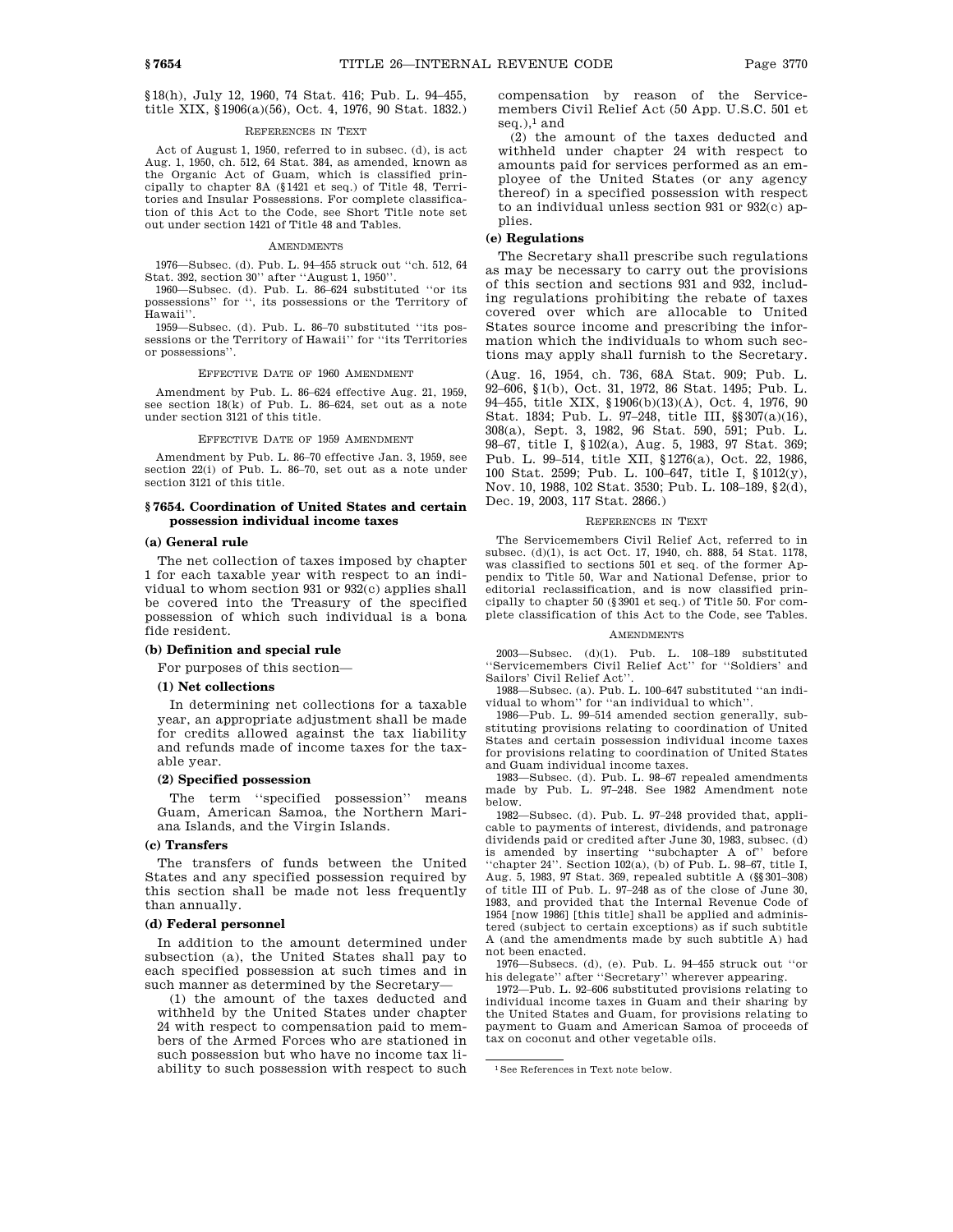§18(h), July 12, 1960, 74 Stat. 416; Pub. L. 94–455, title XIX, §1906(a)(56), Oct. 4, 1976, 90 Stat. 1832.)

### REFERENCES IN TEXT

Act of August 1, 1950, referred to in subsec. (d), is act Aug. 1, 1950, ch. 512, 64 Stat. 384, as amended, known as the Organic Act of Guam, which is classified principally to chapter 8A (§1421 et seq.) of Title 48, Territories and Insular Possessions. For complete classification of this Act to the Code, see Short Title note set out under section 1421 of Title 48 and Tables.

#### AMENDMENTS

1976—Subsec. (d). Pub. L. 94–455 struck out ''ch. 512, 64 Stat. 392, section 30'' after ''August 1, 1950''.

1960—Subsec. (d). Pub. L. 86–624 substituted ''or its possessions'' for '', its possessions or the Territory of Hawaii''.

1959—Subsec. (d). Pub. L. 86–70 substituted ''its possessions or the Territory of Hawaii'' for ''its Territories or possessions''.

### EFFECTIVE DATE OF 1960 AMENDMENT

Amendment by Pub. L. 86–624 effective Aug. 21, 1959, see section 18(k) of Pub. L. 86–624, set out as a note under section 3121 of this title.

EFFECTIVE DATE OF 1959 AMENDMENT

Amendment by Pub. L. 86–70 effective Jan. 3, 1959, see section 22(i) of Pub. L. 86-70, set out as a note under section 3121 of this title.

### **§ 7654. Coordination of United States and certain possession individual income taxes**

#### **(a) General rule**

The net collection of taxes imposed by chapter 1 for each taxable year with respect to an individual to whom section 931 or 932(c) applies shall be covered into the Treasury of the specified possession of which such individual is a bona fide resident.

## **(b) Definition and special rule**

For purposes of this section—

# **(1) Net collections**

In determining net collections for a taxable year, an appropriate adjustment shall be made for credits allowed against the tax liability and refunds made of income taxes for the taxable year.

# **(2) Specified possession**

The term ''specified possession'' means Guam, American Samoa, the Northern Mariana Islands, and the Virgin Islands.

#### **(c) Transfers**

The transfers of funds between the United States and any specified possession required by this section shall be made not less frequently than annually.

## **(d) Federal personnel**

In addition to the amount determined under subsection (a), the United States shall pay to each specified possession at such times and in such manner as determined by the Secretary—

(1) the amount of the taxes deducted and withheld by the United States under chapter 24 with respect to compensation paid to members of the Armed Forces who are stationed in such possession but who have no income tax liability to such possession with respect to such compensation by reason of the Servicemembers Civil Relief Act (50 App. U.S.C. 501 et seq.), $<sup>1</sup>$  and</sup>

(2) the amount of the taxes deducted and withheld under chapter 24 with respect to amounts paid for services performed as an employee of the United States (or any agency thereof) in a specified possession with respect to an individual unless section 931 or 932(c) applies.

# **(e) Regulations**

The Secretary shall prescribe such regulations as may be necessary to carry out the provisions of this section and sections 931 and 932, including regulations prohibiting the rebate of taxes covered over which are allocable to United States source income and prescribing the information which the individuals to whom such sections may apply shall furnish to the Secretary.

(Aug. 16, 1954, ch. 736, 68A Stat. 909; Pub. L. 92–606, §1(b), Oct. 31, 1972, 86 Stat. 1495; Pub. L. 94–455, title XIX, §1906(b)(13)(A), Oct. 4, 1976, 90 Stat. 1834; Pub. L. 97–248, title III, §§307(a)(16), 308(a), Sept. 3, 1982, 96 Stat. 590, 591; Pub. L. 98–67, title I, §102(a), Aug. 5, 1983, 97 Stat. 369; Pub. L. 99–514, title XII, §1276(a), Oct. 22, 1986, 100 Stat. 2599; Pub. L. 100–647, title I, §1012(y), Nov. 10, 1988, 102 Stat. 3530; Pub. L. 108–189, §2(d), Dec. 19, 2003, 117 Stat. 2866.)

#### REFERENCES IN TEXT

The Servicemembers Civil Relief Act, referred to in subsec. (d)(1), is act Oct. 17, 1940, ch. 888, 54 Stat. 1178, was classified to sections 501 et seq. of the former Appendix to Title 50, War and National Defense, prior to editorial reclassification, and is now classified principally to chapter 50 (§3901 et seq.) of Title 50. For complete classification of this Act to the Code, see Tables.

#### AMENDMENTS

2003—Subsec. (d)(1). Pub. L. 108–189 substituted ''Servicemembers Civil Relief Act'' for ''Soldiers' and Sailors' Civil Relief Act''.

1988—Subsec. (a). Pub. L. 100–647 substituted ''an individual to whom'' for ''an individual to which''.

1986—Pub. L. 99–514 amended section generally, substituting provisions relating to coordination of United States and certain possession individual income taxes for provisions relating to coordination of United States and Guam individual income taxes.

1983—Subsec. (d). Pub. L. 98–67 repealed amendments made by Pub. L. 97–248. See 1982 Amendment note below.

1982—Subsec. (d). Pub. L. 97–248 provided that, applicable to payments of interest, dividends, and patronage dividends paid or credited after June 30, 1983, subsec. (d) is amended by inserting ''subchapter A of'' before "chapter 24". Section 102(a), (b) of Pub. L. 98-67, title I, Aug. 5, 1983, 97 Stat. 369, repealed subtitle A (§§301–308) of title III of Pub. L. 97–248 as of the close of June 30, 1983, and provided that the Internal Revenue Code of 1954 [now 1986] [this title] shall be applied and administered (subject to certain exceptions) as if such subtitle A (and the amendments made by such subtitle A) had not been enacted.

1976—Subsecs. (d), (e). Pub. L. 94–455 struck out ''or his delegate'' after ''Secretary'' wherever appearing.

1972—Pub. L. 92–606 substituted provisions relating to individual income taxes in Guam and their sharing by the United States and Guam, for provisions relating to payment to Guam and American Samoa of proceeds of tax on coconut and other vegetable oils.

<sup>1</sup>See References in Text note below.